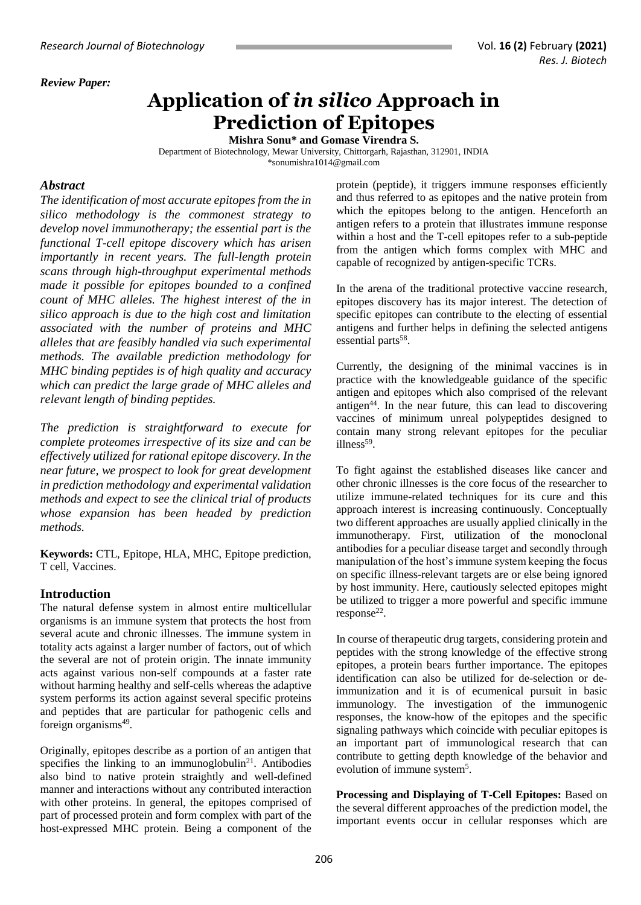#### *Review Paper:*

# **Application of** *in silico* **Approach in Prediction of Epitopes**

**Mishra Sonu\* and Gomase Virendra S.**

Department of Biotechnology, Mewar University, Chittorgarh, Rajasthan, 312901, INDIA [\\*sonumishra1014@gmail.com](mailto:sonumishra1014@gmail.com)

#### *Abstract*

*The identification of most accurate epitopes from the in silico methodology is the commonest strategy to develop novel immunotherapy; the essential part is the functional T-cell epitope discovery which has arisen importantly in recent years. The full-length protein scans through high-throughput experimental methods made it possible for epitopes bounded to a confined count of MHC alleles. The highest interest of the in silico approach is due to the high cost and limitation associated with the number of proteins and MHC alleles that are feasibly handled via such experimental methods. The available prediction methodology for MHC binding peptides is of high quality and accuracy which can predict the large grade of MHC alleles and relevant length of binding peptides.* 

*The prediction is straightforward to execute for complete proteomes irrespective of its size and can be effectively utilized for rational epitope discovery. In the near future, we prospect to look for great development in prediction methodology and experimental validation methods and expect to see the clinical trial of products whose expansion has been headed by prediction methods.*

**Keywords:** CTL, Epitope, HLA, MHC, Epitope prediction, T cell, Vaccines.

# **Introduction**

The natural defense system in almost entire multicellular organisms is an immune system that protects the host from several acute and chronic illnesses. The immune system in totality acts against a larger number of factors, out of which the several are not of protein origin. The innate immunity acts against various non-self compounds at a faster rate without harming healthy and self-cells whereas the adaptive system performs its action against several specific proteins and peptides that are particular for pathogenic cells and foreign organisms<sup>49</sup>.

Originally, epitopes describe as a portion of an antigen that specifies the linking to an immunoglobulin<sup>21</sup>. Antibodies also bind to native protein straightly and well-defined manner and interactions without any contributed interaction with other proteins. In general, the epitopes comprised of part of processed protein and form complex with part of the host-expressed MHC protein. Being a component of the

protein (peptide), it triggers immune responses efficiently and thus referred to as epitopes and the native protein from which the epitopes belong to the antigen. Henceforth an antigen refers to a protein that illustrates immune response within a host and the T-cell epitopes refer to a sub-peptide from the antigen which forms complex with MHC and capable of recognized by antigen-specific TCRs.

In the arena of the traditional protective vaccine research, epitopes discovery has its major interest. The detection of specific epitopes can contribute to the electing of essential antigens and further helps in defining the selected antigens essential parts<sup>58</sup>.

Currently, the designing of the minimal vaccines is in practice with the knowledgeable guidance of the specific antigen and epitopes which also comprised of the relevant antigen<sup>44</sup>. In the near future, this can lead to discovering vaccines of minimum unreal polypeptides designed to contain many strong relevant epitopes for the peculiar illness<sup>59</sup>.

To fight against the established diseases like cancer and other chronic illnesses is the core focus of the researcher to utilize immune-related techniques for its cure and this approach interest is increasing continuously. Conceptually two different approaches are usually applied clinically in the immunotherapy. First, utilization of the monoclonal antibodies for a peculiar disease target and secondly through manipulation of the host's immune system keeping the focus on specific illness-relevant targets are or else being ignored by host immunity. Here, cautiously selected epitopes might be utilized to trigger a more powerful and specific immune response<sup>22</sup>.

In course of therapeutic drug targets, considering protein and peptides with the strong knowledge of the effective strong epitopes, a protein bears further importance. The epitopes identification can also be utilized for de-selection or deimmunization and it is of ecumenical pursuit in basic immunology. The investigation of the immunogenic responses, the know-how of the epitopes and the specific signaling pathways which coincide with peculiar epitopes is an important part of immunological research that can contribute to getting depth knowledge of the behavior and evolution of immune system<sup>5</sup>.

**Processing and Displaying of T-Cell Epitopes:** Based on the several different approaches of the prediction model, the important events occur in cellular responses which are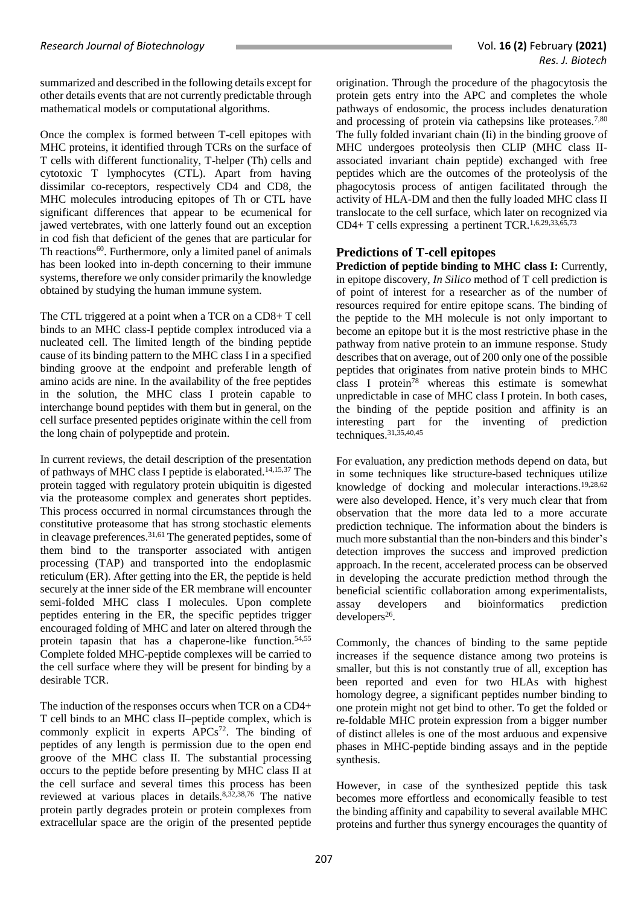summarized and described in the following details except for other details events that are not currently predictable through mathematical models or computational algorithms.

Once the complex is formed between T-cell epitopes with MHC proteins, it identified through TCRs on the surface of T cells with different functionality, T-helper (Th) cells and cytotoxic T lymphocytes (CTL). Apart from having dissimilar co-receptors, respectively CD4 and CD8, the MHC molecules introducing epitopes of Th or CTL have significant differences that appear to be ecumenical for jawed vertebrates, with one latterly found out an exception in cod fish that deficient of the genes that are particular for Th reactions<sup>60</sup>. Furthermore, only a limited panel of animals has been looked into in-depth concerning to their immune systems, therefore we only consider primarily the knowledge obtained by studying the human immune system.

The CTL triggered at a point when a TCR on a CD8+ T cell binds to an MHC class-I peptide complex introduced via a nucleated cell. The limited length of the binding peptide cause of its binding pattern to the MHC class I in a specified binding groove at the endpoint and preferable length of amino acids are nine. In the availability of the free peptides in the solution, the MHC class I protein capable to interchange bound peptides with them but in general, on the cell surface presented peptides originate within the cell from the long chain of polypeptide and protein.

In current reviews, the detail description of the presentation of pathways of MHC class I peptide is elaborated. 14,15,37 The protein tagged with regulatory protein ubiquitin is digested via the proteasome complex and generates short peptides. This process occurred in normal circumstances through the constitutive proteasome that has strong stochastic elements in cleavage preferences.<sup>31,61</sup> The generated peptides, some of them bind to the transporter associated with antigen processing (TAP) and transported into the endoplasmic reticulum (ER). After getting into the ER, the peptide is held securely at the inner side of the ER membrane will encounter semi-folded MHC class I molecules. Upon complete peptides entering in the ER, the specific peptides trigger encouraged folding of MHC and later on altered through the protein tapasin that has a chaperone-like function. 54,55 Complete folded MHC-peptide complexes will be carried to the cell surface where they will be present for binding by a desirable TCR.

The induction of the responses occurs when TCR on a CD4+ T cell binds to an MHC class II–peptide complex, which is commonly explicit in experts APCs<sup>72</sup>. The binding of peptides of any length is permission due to the open end groove of the MHC class II. The substantial processing occurs to the peptide before presenting by MHC class II at the cell surface and several times this process has been reviewed at various places in details. 8,32,38,76 The native protein partly degrades protein or protein complexes from extracellular space are the origin of the presented peptide

origination. Through the procedure of the phagocytosis the protein gets entry into the APC and completes the whole pathways of endosomic, the process includes denaturation and processing of protein via cathepsins like proteases.<sup>7,80</sup> The fully folded invariant chain (Ii) in the binding groove of MHC undergoes proteolysis then CLIP (MHC class IIassociated invariant chain peptide) exchanged with free peptides which are the outcomes of the proteolysis of the phagocytosis process of antigen facilitated through the activity of HLA-DM and then the fully loaded MHC class II translocate to the cell surface, which later on recognized via CD4+ T cells expressing a pertinent TCR. 1,6,29,33,65,73

#### **Predictions of T-cell epitopes**

**Prediction of peptide binding to MHC class I:** Currently, in epitope discovery, *In Silico* method of T cell prediction is of point of interest for a researcher as of the number of resources required for entire epitope scans. The binding of the peptide to the MH molecule is not only important to become an epitope but it is the most restrictive phase in the pathway from native protein to an immune response. Study describes that on average, out of 200 only one of the possible peptides that originates from native protein binds to MHC class I protein<sup>78</sup> whereas this estimate is somewhat unpredictable in case of MHC class I protein. In both cases, the binding of the peptide position and affinity is an interesting part for the inventing of prediction techniques. 31,35,40,45

For evaluation, any prediction methods depend on data, but in some techniques like structure-based techniques utilize knowledge of docking and molecular interactions. 19,28,62 were also developed. Hence, it's very much clear that from observation that the more data led to a more accurate prediction technique. The information about the binders is much more substantial than the non-binders and this binder's detection improves the success and improved prediction approach. In the recent, accelerated process can be observed in developing the accurate prediction method through the beneficial scientific collaboration among experimentalists, assay developers and bioinformatics prediction  $developers<sup>26</sup>$ .

Commonly, the chances of binding to the same peptide increases if the sequence distance among two proteins is smaller, but this is not constantly true of all, exception has been reported and even for two HLAs with highest homology degree, a significant peptides number binding to one protein might not get bind to other. To get the folded or re-foldable MHC protein expression from a bigger number of distinct alleles is one of the most arduous and expensive phases in MHC-peptide binding assays and in the peptide synthesis.

However, in case of the synthesized peptide this task becomes more effortless and economically feasible to test the binding affinity and capability to several available MHC proteins and further thus synergy encourages the quantity of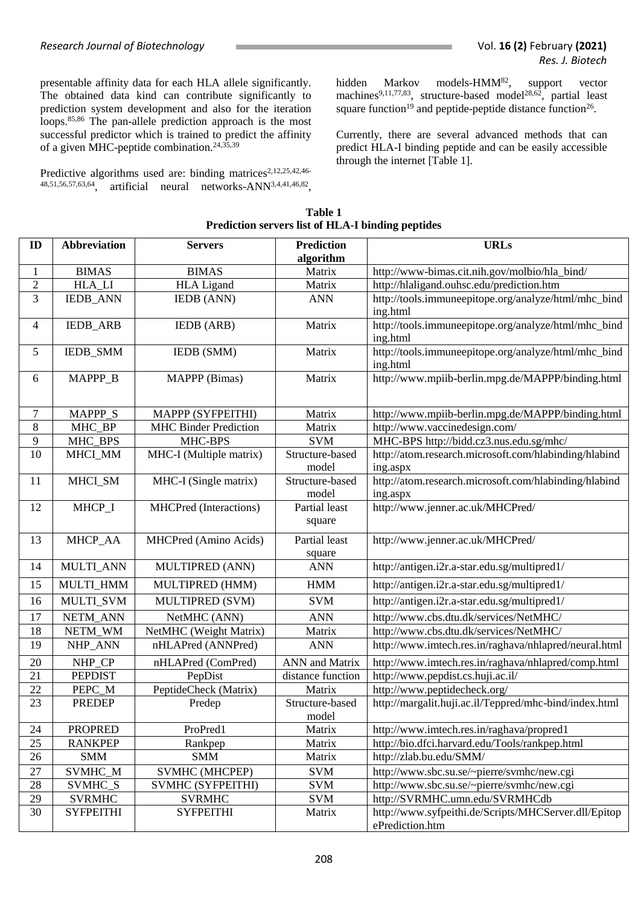presentable affinity data for each HLA allele significantly. The obtained data kind can contribute significantly to prediction system development and also for the iteration loops. 85,86 The pan-allele prediction approach is the most successful predictor which is trained to predict the affinity of a given MHC-peptide combination. 24,35,39

Predictive algorithms used are: binding matrices<sup>2,12,25,42,46-</sup> 48,51,56,57,63,64, artificial neural networks-ANN3,4,41,46,82 , hidden Markov models-HMM<sup>82</sup>, support vector machines<sup>9,11,77,83</sup>, structure-based model<sup>28,62</sup>, partial least square function<sup>19</sup> and peptide-peptide distance function<sup>26</sup>.

Currently, there are several advanced methods that can predict HLA-I binding peptide and can be easily accessible through the internet [Table 1].

| ID             | <b>Abbreviation</b> | <b>Servers</b>                | <b>Prediction</b><br>algorithm | <b>URLs</b>                                                             |
|----------------|---------------------|-------------------------------|--------------------------------|-------------------------------------------------------------------------|
| 1              | <b>BIMAS</b>        | <b>BIMAS</b>                  | Matrix                         | http://www-bimas.cit.nih.gov/molbio/hla_bind/                           |
| $\overline{c}$ | HLA_LI              | <b>HLA Ligand</b>             | Matrix                         | http://hlaligand.ouhsc.edu/prediction.htm                               |
| 3              | <b>IEDB_ANN</b>     | IEDB (ANN)                    | <b>ANN</b>                     | http://tools.immuneepitope.org/analyze/html/mhc_bind<br>ing.html        |
| $\overline{4}$ | <b>IEDB_ARB</b>     | <b>IEDB</b> (ARB)             | Matrix                         | http://tools.immuneepitope.org/analyze/html/mhc_bind<br>ing.html        |
| 5              | IEDB_SMM            | IEDB (SMM)                    | Matrix                         | http://tools.immuneepitope.org/analyze/html/mhc_bind<br>ing.html        |
| 6              | MAPPP_B             | MAPPP (Bimas)                 | Matrix                         | http://www.mpiib-berlin.mpg.de/MAPPP/binding.html                       |
| 7              | MAPPP_S             | MAPPP (SYFPEITHI)             | Matrix                         | http://www.mpiib-berlin.mpg.de/MAPPP/binding.html                       |
| 8              | MHC_BP              | <b>MHC Binder Prediction</b>  | Matrix                         | http://www.vaccinedesign.com/                                           |
| 9              | MHC_BPS             | MHC-BPS                       | <b>SVM</b>                     | MHC-BPS http://bidd.cz3.nus.edu.sg/mhc/                                 |
| 10             | MHCI_MM             | MHC-I (Multiple matrix)       | Structure-based<br>model       | http://atom.research.microsoft.com/hlabinding/hlabind<br>ing.aspx       |
| 11             | MHCI_SM             | MHC-I (Single matrix)         | Structure-based<br>model       | http://atom.research.microsoft.com/hlabinding/hlabind<br>ing.aspx       |
| 12             | MHCP_I              | <b>MHCPred</b> (Interactions) | Partial least<br>square        | http://www.jenner.ac.uk/MHCPred/                                        |
| 13             | MHCP AA             | MHCPred (Amino Acids)         | Partial least<br>square        | http://www.jenner.ac.uk/MHCPred/                                        |
| 14             | MULTI_ANN           | MULTIPRED (ANN)               | <b>ANN</b>                     | http://antigen.i2r.a-star.edu.sg/multipred1/                            |
| 15             | MULTI_HMM           | MULTIPRED (HMM)               | <b>HMM</b>                     | http://antigen.i2r.a-star.edu.sg/multipred1/                            |
| 16             | MULTI_SVM           | MULTIPRED (SVM)               | <b>SVM</b>                     | http://antigen.i2r.a-star.edu.sg/multipred1/                            |
| 17             | NETM_ANN            | NetMHC (ANN)                  | <b>ANN</b>                     | http://www.cbs.dtu.dk/services/NetMHC/                                  |
| 18             | NETM_WM             | NetMHC (Weight Matrix)        | Matrix                         | http://www.cbs.dtu.dk/services/NetMHC/                                  |
| 19             | NHP_ANN             | nHLAPred (ANNPred)            | <b>ANN</b>                     | http://www.imtech.res.in/raghava/nhlapred/neural.html                   |
| 20             | NHP_CP              | nHLAPred (ComPred)            | <b>ANN</b> and Matrix          | http://www.imtech.res.in/raghava/nhlapred/comp.html                     |
| 21             | <b>PEPDIST</b>      | PepDist                       | distance function              | http://www.pepdist.cs.huji.ac.il/                                       |
| 22             | PEPC_M              | PeptideCheck (Matrix)         | Matrix                         | http://www.peptidecheck.org/                                            |
| 23             | <b>PREDEP</b>       | Predep                        | Structure-based<br>model       | http://margalit.huji.ac.il/Teppred/mhc-bind/index.html                  |
| 24             | <b>PROPRED</b>      | ProPred1                      | Matrix                         | http://www.imtech.res.in/raghava/propred1                               |
| 25             | <b>RANKPEP</b>      | Rankpep                       | Matrix                         | http://bio.dfci.harvard.edu/Tools/rankpep.html                          |
| 26             | <b>SMM</b>          | <b>SMM</b>                    | Matrix                         | http://zlab.bu.edu/SMM/                                                 |
| $27\,$         | SVMHC_M             | <b>SVMHC (MHCPEP)</b>         | <b>SVM</b>                     | http://www.sbc.su.se/~pierre/svmhc/new.cgi                              |
| 28             | SVMHC_S             | SVMHC (SYFPEITHI)             | <b>SVM</b>                     | http://www.sbc.su.se/~pierre/svmhc/new.cgi                              |
| 29             | <b>SVRMHC</b>       | <b>SVRMHC</b>                 | <b>SVM</b>                     | http://SVRMHC.umn.edu/SVRMHCdb                                          |
| 30             | <b>SYFPEITHI</b>    | <b>SYFPEITHI</b>              | Matrix                         | http://www.syfpeithi.de/Scripts/MHCServer.dll/Epitop<br>ePrediction.htm |

| Table 1                                           |  |
|---------------------------------------------------|--|
| Prediction servers list of HLA-I binding peptides |  |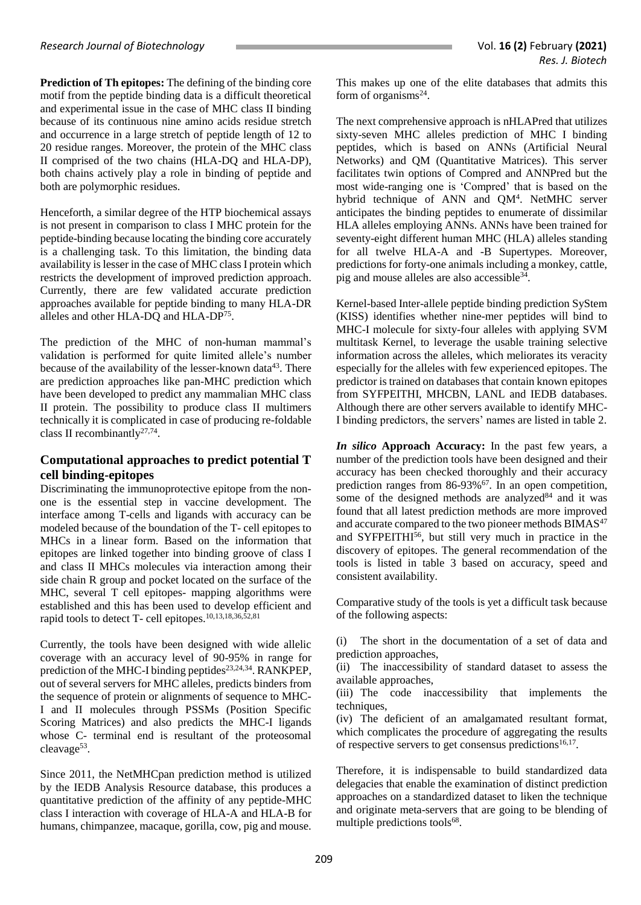**Prediction of Th epitopes:** The defining of the binding core motif from the peptide binding data is a difficult theoretical and experimental issue in the case of MHC class II binding because of its continuous nine amino acids residue stretch and occurrence in a large stretch of peptide length of 12 to 20 residue ranges. Moreover, the protein of the MHC class II comprised of the two chains (HLA-DQ and HLA-DP), both chains actively play a role in binding of peptide and both are polymorphic residues.

Henceforth, a similar degree of the HTP biochemical assays is not present in comparison to class I MHC protein for the peptide-binding because locating the binding core accurately is a challenging task. To this limitation, the binding data availability is lesser in the case of MHC class I protein which restricts the development of improved prediction approach. Currently, there are few validated accurate prediction approaches available for peptide binding to many HLA-DR alleles and other HLA-DQ and HLA-DP<sup>75</sup> .

The prediction of the MHC of non-human mammal's validation is performed for quite limited allele's number because of the availability of the lesser-known data<sup>43</sup>. There are prediction approaches like pan-MHC prediction which have been developed to predict any mammalian MHC class II protein. The possibility to produce class II multimers technically it is complicated in case of producing re-foldable class II recombinantly<sup>27,74</sup>.

# **Computational approaches to predict potential T cell binding-epitopes**

Discriminating the immunoprotective epitope from the nonone is the essential step in vaccine development. The interface among T-cells and ligands with accuracy can be modeled because of the boundation of the T- cell epitopes to MHCs in a linear form. Based on the information that epitopes are linked together into binding groove of class I and class II MHCs molecules via interaction among their side chain R group and pocket located on the surface of the MHC, several T cell epitopes- mapping algorithms were established and this has been used to develop efficient and rapid tools to detect T- cell epitopes. 10,13,18,36,52,81

Currently, the tools have been designed with wide allelic coverage with an accuracy level of 90-95% in range for prediction of the MHC-I binding peptides<sup>23,24,34</sup>. RANKPEP, out of several servers for MHC alleles, predicts binders from the sequence of protein or alignments of sequence to MHC-I and II molecules through PSSMs (Position Specific Scoring Matrices) and also predicts the MHC-I ligands whose C- terminal end is resultant of the proteosomal cleavage<sup>53</sup>.

Since 2011, the NetMHCpan prediction method is utilized by the IEDB Analysis Resource database, this produces a quantitative prediction of the affinity of any peptide-MHC class I interaction with coverage of HLA-A and HLA-B for humans, chimpanzee, macaque, gorilla, cow, pig and mouse.

This makes up one of the elite databases that admits this form of organisms $^{24}$ .

The next comprehensive approach is nHLAPred that utilizes sixty-seven MHC alleles prediction of MHC I binding peptides, which is based on ANNs (Artificial Neural Networks) and QM (Quantitative Matrices). This server facilitates twin options of Compred and ANNPred but the most wide-ranging one is 'Compred' that is based on the hybrid technique of ANN and QM<sup>4</sup>. NetMHC server anticipates the binding peptides to enumerate of dissimilar HLA alleles employing ANNs. ANNs have been trained for seventy-eight different human MHC (HLA) alleles standing for all twelve HLA-A and -B Supertypes. Moreover, predictions for forty-one animals including a monkey, cattle, pig and mouse alleles are also accessible<sup>34</sup>.

Kernel-based Inter-allele peptide binding prediction SyStem (KISS) identifies whether nine-mer peptides will bind to MHC-I molecule for sixty-four alleles with applying SVM multitask Kernel, to leverage the usable training selective information across the alleles, which meliorates its veracity especially for the alleles with few experienced epitopes. The predictor is trained on databases that contain known epitopes from SYFPEITHI, MHCBN, LANL and IEDB databases. Although there are other servers available to identify MHC-I binding predictors, the servers' names are listed in table 2.

*In silico* **Approach Accuracy:** In the past few years, a number of the prediction tools have been designed and their accuracy has been checked thoroughly and their accuracy prediction ranges from 86-93%<sup>67</sup>. In an open competition, some of the designed methods are analyzed $84$  and it was found that all latest prediction methods are more improved and accurate compared to the two pioneer methods BIMAS<sup>47</sup> and  $SYFPEITHI<sup>56</sup>$ , but still very much in practice in the discovery of epitopes. The general recommendation of the tools is listed in table 3 based on accuracy, speed and consistent availability.

Comparative study of the tools is yet a difficult task because of the following aspects:

(i) The short in the documentation of a set of data and prediction approaches,

(ii) The inaccessibility of standard dataset to assess the available approaches,

(iii) The code inaccessibility that implements the techniques,

(iv) The deficient of an amalgamated resultant format, which complicates the procedure of aggregating the results of respective servers to get consensus predictions<sup>16,17</sup>.

Therefore, it is indispensable to build standardized data delegacies that enable the examination of distinct prediction approaches on a standardized dataset to liken the technique and originate meta-servers that are going to be blending of multiple predictions tools<sup>68</sup>.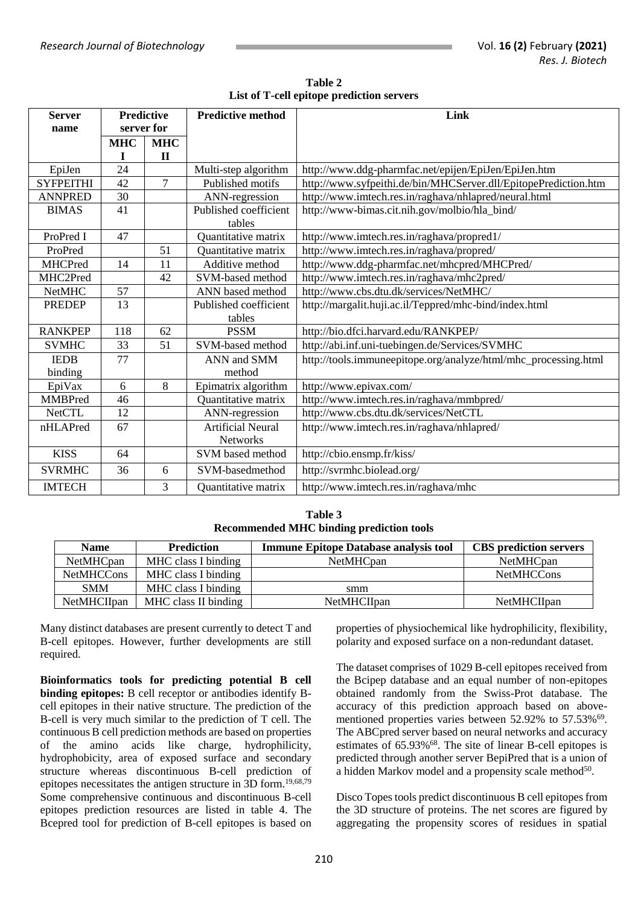| Table 2                                   |
|-------------------------------------------|
| List of T-cell epitope prediction servers |

| <b>Server</b><br>name | <b>Predictive</b><br>server for |                | <b>Predictive method</b>        | Link                                                            |
|-----------------------|---------------------------------|----------------|---------------------------------|-----------------------------------------------------------------|
|                       | <b>MHC</b>                      | <b>MHC</b>     |                                 |                                                                 |
|                       | L                               | $\mathbf{I}$   |                                 |                                                                 |
| EpiJen                | 24                              |                | Multi-step algorithm            | http://www.ddg-pharmfac.net/epijen/EpiJen/EpiJen.htm            |
| <b>SYFPEITHI</b>      | 42                              | $\overline{7}$ | Published motifs                | http://www.syfpeithi.de/bin/MHCServer.dll/EpitopePrediction.htm |
| <b>ANNPRED</b>        | 30                              |                | ANN-regression                  | http://www.imtech.res.in/raghava/nhlapred/neural.html           |
| <b>BIMAS</b>          | 41                              |                | Published coefficient<br>tables | http://www-bimas.cit.nih.gov/molbio/hla_bind/                   |
| ProPred I             | 47                              |                | Quantitative matrix             | http://www.imtech.res.in/raghava/propred1/                      |
| ProPred               |                                 | 51             | Quantitative matrix             | http://www.imtech.res.in/raghava/propred/                       |
| <b>MHCPred</b>        | 14                              | 11             | Additive method                 | http://www.ddg-pharmfac.net/mhcpred/MHCPred/                    |
| MHC2Pred              |                                 | 42             | SVM-based method                | http://www.imtech.res.in/raghava/mhc2pred/                      |
| <b>NetMHC</b>         | 57                              |                | ANN based method                | http://www.cbs.dtu.dk/services/NetMHC/                          |
| <b>PREDEP</b>         | 13                              |                | Published coefficient           | http://margalit.huji.ac.il/Teppred/mhc-bind/index.html          |
|                       |                                 |                | tables                          |                                                                 |
| <b>RANKPEP</b>        | 118                             | 62             | <b>PSSM</b>                     | http://bio.dfci.harvard.edu/RANKPEP/                            |
| <b>SVMHC</b>          | 33                              | 51             | SVM-based method                | http://abi.inf.uni-tuebingen.de/Services/SVMHC                  |
| <b>IEDB</b>           | 77                              |                | ANN and SMM                     | http://tools.immuneepitope.org/analyze/html/mhc_processing.html |
| binding               |                                 |                | method                          |                                                                 |
| EpiVax                | 6                               | 8              | Epimatrix algorithm             | http://www.epivax.com/                                          |
| <b>MMBPred</b>        | 46                              |                | <b>Ouantitative matrix</b>      | http://www.imtech.res.in/raghava/mmbpred/                       |
| <b>NetCTL</b>         | 12                              |                | ANN-regression                  | http://www.cbs.dtu.dk/services/NetCTL                           |
| nHLAPred              | 67                              |                | <b>Artificial Neural</b>        | http://www.imtech.res.in/raghava/nhlapred/                      |
|                       |                                 |                | <b>Networks</b>                 |                                                                 |
| <b>KISS</b>           | 64                              |                | SVM based method                | http://cbio.ensmp.fr/kiss/                                      |
| <b>SVRMHC</b>         | 36                              | 6              | SVM-basedmethod                 | http://svrmhc.biolead.org/                                      |
| <b>IMTECH</b>         |                                 | 3              | Quantitative matrix             | http://www.imtech.res.in/raghava/mhc                            |

**Table 3 Recommended MHC binding prediction tools**

| <b>Name</b>        | Prediction           | <b>Immune Epitope Database analysis tool</b> | <b>CBS</b> prediction servers |
|--------------------|----------------------|----------------------------------------------|-------------------------------|
| <b>NetMHCpan</b>   | MHC class I binding  | <b>NetMHCpan</b>                             | NetMHCpan                     |
| <b>NetMHCCons</b>  | MHC class I binding  |                                              | <b>NetMHCCons</b>             |
| <b>SMM</b>         | MHC class I binding  | smm                                          |                               |
| <b>NetMHCIIpan</b> | MHC class II binding | <b>NetMHCIIpan</b>                           | <b>NetMHCIIpan</b>            |

Many distinct databases are present currently to detect T and B-cell epitopes. However, further developments are still required.

**Bioinformatics tools for predicting potential B cell binding epitopes:** B cell receptor or antibodies identify Bcell epitopes in their native structure. The prediction of the B-cell is very much similar to the prediction of T cell. The continuous B cell prediction methods are based on properties of the amino acids like charge, hydrophilicity, hydrophobicity, area of exposed surface and secondary structure whereas discontinuous B-cell prediction of epitopes necessitates the antigen structure in 3D form. 19,68,79 Some comprehensive continuous and discontinuous B-cell epitopes prediction resources are listed in table 4. The Bcepred tool for prediction of B-cell epitopes is based on properties of physiochemical like hydrophilicity, flexibility, polarity and exposed surface on a non-redundant dataset.

The dataset comprises of 1029 B-cell epitopes received from the Bcipep database and an equal number of non-epitopes obtained randomly from the Swiss-Prot database. The accuracy of this prediction approach based on abovementioned properties varies between 52.92% to 57.53%<sup>69</sup>. The ABCpred server based on neural networks and accuracy estimates of 65.93%<sup>68</sup>. The site of linear B-cell epitopes is predicted through another server BepiPred that is a union of a hidden Markov model and a propensity scale method<sup>50</sup>.

Disco Topes tools predict discontinuous B cell epitopes from the 3D structure of proteins. The net scores are figured by aggregating the propensity scores of residues in spatial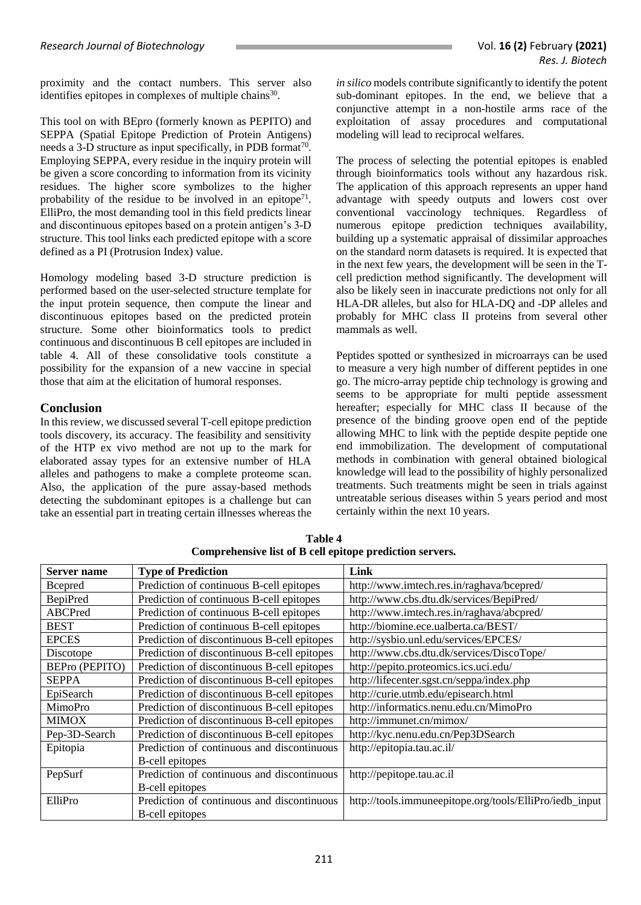proximity and the contact numbers. This server also identifies epitopes in complexes of multiple chains<sup>30</sup>.

This tool on with BEpro (formerly known as PEPITO) and SEPPA (Spatial Epitope Prediction of Protein Antigens) needs a 3-D structure as input specifically, in PDB format<sup>70</sup>. Employing SEPPA, every residue in the inquiry protein will be given a score concording to information from its vicinity residues. The higher score symbolizes to the higher probability of the residue to be involved in an epitope<sup>71</sup>. ElliPro, the most demanding tool in this field predicts linear and discontinuous epitopes based on a protein antigen's 3-D structure. This tool links each predicted epitope with a score defined as a PI (Protrusion Index) value.

Homology modeling based 3-D structure prediction is performed based on the user-selected structure template for the input protein sequence, then compute the linear and discontinuous epitopes based on the predicted protein structure. Some other bioinformatics tools to predict continuous and discontinuous B cell epitopes are included in table 4. All of these consolidative tools constitute a possibility for the expansion of a new vaccine in special those that aim at the elicitation of humoral responses.

# **Conclusion**

In this review, we discussed several T-cell epitope prediction tools discovery, its accuracy. The feasibility and sensitivity of the HTP ex vivo method are not up to the mark for elaborated assay types for an extensive number of HLA alleles and pathogens to make a complete proteome scan. Also, the application of the pure assay-based methods detecting the subdominant epitopes is a challenge but can take an essential part in treating certain illnesses whereas the *in silico* models contribute significantly to identify the potent sub-dominant epitopes. In the end, we believe that a conjunctive attempt in a non-hostile arms race of the exploitation of assay procedures and computational modeling will lead to reciprocal welfares.

The process of selecting the potential epitopes is enabled through bioinformatics tools without any hazardous risk. The application of this approach represents an upper hand advantage with speedy outputs and lowers cost over conventional vaccinology techniques. Regardless of numerous epitope prediction techniques availability, building up a systematic appraisal of dissimilar approaches on the standard norm datasets is required. It is expected that in the next few years, the development will be seen in the Tcell prediction method significantly. The development will also be likely seen in inaccurate predictions not only for all HLA-DR alleles, but also for HLA-DQ and -DP alleles and probably for MHC class II proteins from several other mammals as well.

Peptides spotted or synthesized in microarrays can be used to measure a very high number of different peptides in one go. The micro-array peptide chip technology is growing and seems to be appropriate for multi peptide assessment hereafter; especially for MHC class II because of the presence of the binding groove open end of the peptide allowing MHC to link with the peptide despite peptide one end immobilization. The development of computational methods in combination with general obtained biological knowledge will lead to the possibility of highly personalized treatments. Such treatments might be seen in trials against untreatable serious diseases within 5 years period and most certainly within the next 10 years.

| Server name           | <b>Type of Prediction</b>                   | Link                                                    |
|-----------------------|---------------------------------------------|---------------------------------------------------------|
| <b>B</b> cepred       | Prediction of continuous B-cell epitopes    | http://www.imtech.res.in/raghava/bcepred/               |
| <b>BepiPred</b>       | Prediction of continuous B-cell epitopes    | http://www.cbs.dtu.dk/services/BepiPred/                |
| ABCPred               | Prediction of continuous B-cell epitopes    | http://www.imtech.res.in/raghava/abcpred/               |
| <b>BEST</b>           | Prediction of continuous B-cell epitopes    | http://biomine.ece.ualberta.ca/BEST/                    |
| <b>EPCES</b>          | Prediction of discontinuous B-cell epitopes | http://sysbio.unl.edu/services/EPCES/                   |
| Discotope             | Prediction of discontinuous B-cell epitopes | http://www.cbs.dtu.dk/services/DiscoTope/               |
| <b>BEPro (PEPITO)</b> | Prediction of discontinuous B-cell epitopes | http://pepito.proteomics.ics.uci.edu/                   |
| <b>SEPPA</b>          | Prediction of discontinuous B-cell epitopes | http://lifecenter.sgst.cn/seppa/index.php               |
| EpiSearch             | Prediction of discontinuous B-cell epitopes | http://curie.utmb.edu/episearch.html                    |
| MimoPro               | Prediction of discontinuous B-cell epitopes | http://informatics.nenu.edu.cn/MimoPro                  |
| <b>MIMOX</b>          | Prediction of discontinuous B-cell epitopes | http://immunet.cn/mimox/                                |
| Pep-3D-Search         | Prediction of discontinuous B-cell epitopes | http://kyc.nenu.edu.cn/Pep3DSearch                      |
| Epitopia              | Prediction of continuous and discontinuous  | http://epitopia.tau.ac.il/                              |
|                       | <b>B-cell epitopes</b>                      |                                                         |
| PepSurf               | Prediction of continuous and discontinuous  | http://pepitope.tau.ac.il                               |
|                       | <b>B-cell epitopes</b>                      |                                                         |
| ElliPro               | Prediction of continuous and discontinuous  | http://tools.immuneepitope.org/tools/ElliPro/iedb_input |
|                       | <b>B-cell epitopes</b>                      |                                                         |

**Table 4 Comprehensive list of B cell epitope prediction servers.**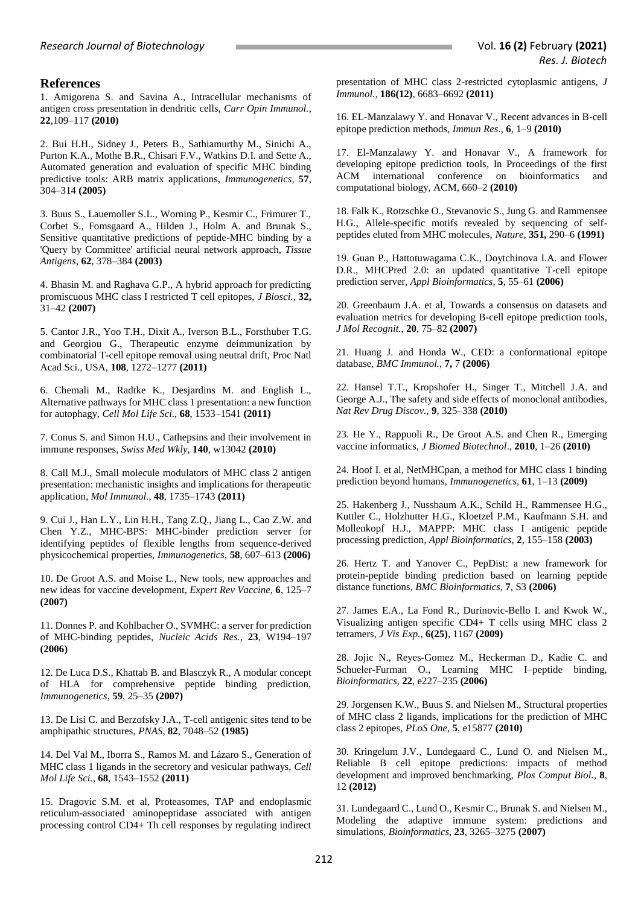# **References**

1. Amigorena S. and Savina A., Intracellular mechanisms of antigen cross presentation in dendritic cells, *Curr Opin Immunol.*, **22**,109–117 **(2010)**

2. Bui H.H., Sidney J., Peters B., Sathiamurthy M., Sinichi A., Purton K.A., Mothe B.R., Chisari F.V., Watkins D.I. and Sette A., Automated generation and evaluation of specific MHC binding predictive tools: ARB matrix applications, *Immunogenetics*, **57**, 304–314 **(2005)**

3. Buus S., Lauemoller S.L., Worning P., Kesmir C., Frimurer T., Corbet S., Fomsgaard A., Hilden J., Holm A. and Brunak S., Sensitive quantitative predictions of peptide-MHC binding by a 'Query by Committee' artificial neural network approach, *Tissue Antigens,* **62**, 378–384 **(2003)**

4. Bhasin M. and Raghava G.P., A hybrid approach for predicting promiscuous MHC class I restricted T cell epitopes, *J Biosci.*, **32,** 31–42 **(2007)**

5. Cantor J.R., Yoo T.H., Dixit A., Iverson B.L., Forsthuber T.G. and Georgiou G., Therapeutic enzyme deimmunization by combinatorial T-cell epitope removal using neutral drift, Proc Natl Acad Sci., USA, **108**, 1272–1277 **(2011)**

6. Chemali M., Radtke K., Desjardins M. and English L., Alternative pathways for MHC class 1 presentation: a new function for autophagy, *Cell Mol Life Sci*., **68**, 1533–1541 **(2011)**

7. Conus S. and Simon H.U., Cathepsins and their involvement in immune responses, *Swiss Med Wkly*, **140**, w13042 **(2010)**

8. Call M.J., Small molecule modulators of MHC class 2 antigen presentation: mechanistic insights and implications for therapeutic application, *Mol Immunol.*, **48**, 1735–1743 **(2011)**

9. Cui J., Han L.Y., Lin H.H., Tang Z.Q., Jiang L., Cao Z.W. and Chen Y.Z., MHC-BPS: MHC-binder prediction server for identifying peptides of flexible lengths from sequence-derived physicochemical properties, *Immunogenetics*, **58**, 607–613 **(2006)**

10. De Groot A.S. and Moise L., New tools, new approaches and new ideas for vaccine development, *Expert Rev Vaccine*, **6**, 125–7 **(2007)**

11. Donnes P. and Kohlbacher O., SVMHC: a server for prediction of MHC-binding peptides, *Nucleic Acids Res.,* **23**, W194–197 **(2006)**

12. De Luca D.S., Khattab B. and Blasczyk R., A modular concept of HLA for comprehensive peptide binding prediction, *Immunogenetics,* **59**, 25–35 **(2007)**

13. De Lisi C. and Berzofsky J.A., T-cell antigenic sites tend to be amphipathic structures, *PNAS,* **82**, 7048–52 **(1985)**

14. Del Val M., Iborra S., Ramos M. and Lázaro S., Generation of MHC class 1 ligands in the secretory and vesicular pathways, *Cell Mol Life Sci.*, **68**, 1543–1552 **(2011)**

15. Dragovic S.M. et al, Proteasomes, TAP and endoplasmic reticulum-associated aminopeptidase associated with antigen processing control CD4+ Th cell responses by regulating indirect presentation of MHC class 2-restricted cytoplasmic antigens, *J Immunol.,* **186(12)**, 6683–6692 **(2011)**

16. EL-Manzalawy Y. and Honavar V., Recent advances in B-cell epitope prediction methods, *Immun Res*., **6**, 1–9 **(2010)**

17. El-Manzalawy Y. and Honavar V., A framework for developing epitope prediction tools, In Proceedings of the first ACM international conference on bioinformatics and computational biology, ACM, 660–2 **(2010)**

18. Falk K., Rotzschke O., Stevanovic S., Jung G. and Rammensee H.G., Allele-specific motifs revealed by sequencing of selfpeptides eluted from MHC molecules, *Nature*, **351,** 290–6 **(1991)**

19. Guan P., Hattotuwagama C.K., Doytchinova I.A. and Flower D.R., MHCPred 2.0: an updated quantitative T-cell epitope prediction server, *Appl Bioinformatics,* **5**, 55–61 **(2006)**

20. Greenbaum J.A. et al, Towards a consensus on datasets and evaluation metrics for developing B-cell epitope prediction tools, *J Mol Recognit.,* **20**, 75–82 **(2007)**

21. Huang J. and Honda W., CED: a conformational epitope database, *BMC Immunol.,* **7,** 7 **(2006)**

22. Hansel T.T., Kropshofer H., Singer T., Mitchell J.A. and George A.J., The safety and side effects of monoclonal antibodies, *Nat Rev Drug Discov.,* **9**, 325–338 **(2010)**

23. He Y., Rappuoli R., De Groot A.S. and Chen R., Emerging vaccine informatics, *J Biomed Biotechnol*., **2010**, 1–26 **(2010)**

24. Hoof I. et al, NetMHCpan, a method for MHC class 1 binding prediction beyond humans, *Immunogenetics,* **61**, 1–13 **(2009)**

25. Hakenberg J., Nussbaum A.K., Schild H., Rammensee H.G., Kuttler C., Holzhutter H.G., Kloetzel P.M., Kaufmann S.H. and Mollenkopf H.J., MAPPP: MHC class I antigenic peptide processing prediction, *Appl Bioinformatics*, **2**, 155–158 **(2003)** 

26. Hertz T. and Yanover C., PepDist: a new framework for protein-peptide binding prediction based on learning peptide distance functions, *BMC Bioinformatics,* **7**, S3 **(2006)**

27. James E.A., La Fond R., Durinovic-Bello I. and Kwok W., Visualizing antigen specific CD4+ T cells using MHC class 2 tetramers, *J Vis Exp.,* **6(25)**, 1167 **(2009)**

28. Jojic N., Reyes-Gomez M., Heckerman D., Kadie C. and Schueler-Furman O., Learning MHC I–peptide binding, *Bioinformatics,* **22**, e227–235 **(2006)**

29. Jorgensen K.W., Buus S. and Nielsen M., Structural properties of MHC class 2 ligands, implications for the prediction of MHC class 2 epitopes, *PLoS One,* **5**, e15877 **(2010)**

30. Kringelum J.V., Lundegaard C., Lund O. and Nielsen M., Reliable B cell epitope predictions: impacts of method development and improved benchmarking, *Plos Comput Biol.,* **8**, 12 **(2012)**

31. Lundegaard C., Lund O., Kesmir C., Brunak S. and Nielsen M., Modeling the adaptive immune system: predictions and simulations, *Bioinformatics,* **23**, 3265–3275 **(2007)**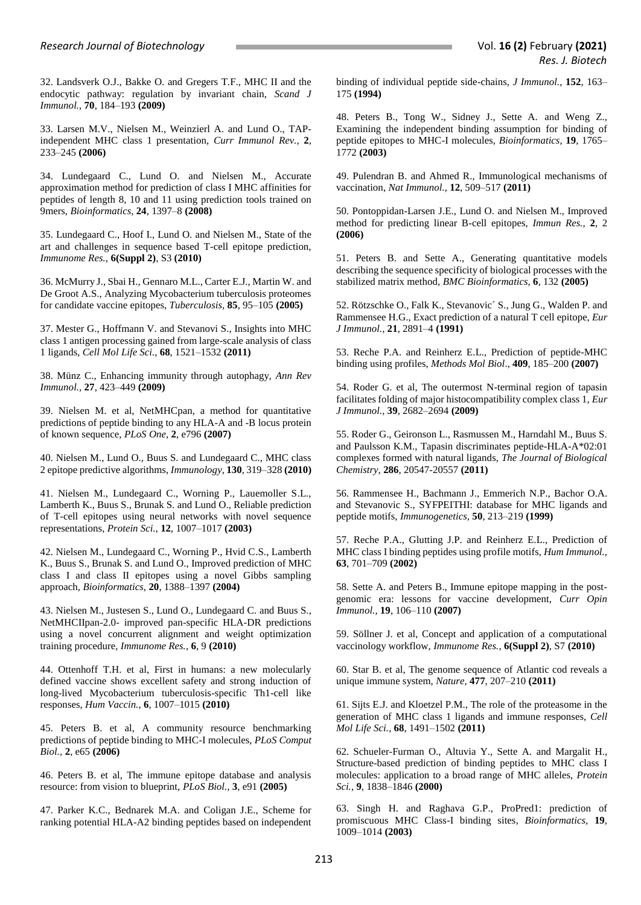32. Landsverk O.J., Bakke O. and Gregers T.F., MHC II and the endocytic pathway: regulation by invariant chain, *Scand J Immunol.,* **70**, 184–193 **(2009)**

33. Larsen M.V., Nielsen M., Weinzierl A. and Lund O., TAPindependent MHC class 1 presentation, *Curr Immunol Rev.*, **2**, 233–245 **(2006)**

34. Lundegaard C., Lund O. and Nielsen M., Accurate approximation method for prediction of class I MHC affinities for peptides of length 8, 10 and 11 using prediction tools trained on 9mers, *Bioinformatics,* **24**, 1397–8 **(2008)**

35. Lundegaard C., Hoof I., Lund O. and Nielsen M., State of the art and challenges in sequence based T-cell epitope prediction, *Immunome Res.,* **6(Suppl 2)**, S3 **(2010)**

36. McMurry J., Sbai H., Gennaro M.L., Carter E.J., Martin W. and De Groot A.S., Analyzing Mycobacterium tuberculosis proteomes for candidate vaccine epitopes, *Tuberculosis,* **85**, 95–105 **(2005)**

37. Mester G., Hoffmann V. and Stevanovi S., Insights into MHC class 1 antigen processing gained from large-scale analysis of class 1 ligands, *Cell Mol Life Sci.*, **68**, 1521–1532 **(2011)**

38. Münz C., Enhancing immunity through autophagy, *Ann Rev Immunol.,* **27**, 423–449 **(2009)**

39. Nielsen M. et al, NetMHCpan, a method for quantitative predictions of peptide binding to any HLA-A and -B locus protein of known sequence, *PLoS One,* **2**, e796 **(2007)**

40. Nielsen M., Lund O., Buus S. and Lundegaard C., MHC class 2 epitope predictive algorithms, *Immunology,* **130**, 319–328 **(2010)**

41. Nielsen M., Lundegaard C., Worning P., Lauemoller S.L., Lamberth K., Buus S., Brunak S. and Lund O., Reliable prediction of T-cell epitopes using neural networks with novel sequence representations, *Protein Sci.,* **12**, 1007–1017 **(2003)**

42. Nielsen M., Lundegaard C., Worning P., Hvid C.S., Lamberth K., Buus S., Brunak S. and Lund O., Improved prediction of MHC class I and class II epitopes using a novel Gibbs sampling approach, *Bioinformatics,* **20**, 1388–1397 **(2004)**

43. Nielsen M., Justesen S., Lund O., Lundegaard C. and Buus S., NetMHCIIpan-2.0- improved pan-specific HLA-DR predictions using a novel concurrent alignment and weight optimization training procedure, *Immunome Res.*, **6**, 9 **(2010)**

44. Ottenhoff T.H. et al, First in humans: a new molecularly defined vaccine shows excellent safety and strong induction of long-lived Mycobacterium tuberculosis-specific Th1-cell like responses, *Hum Vaccin.*, **6**, 1007–1015 **(2010)**

45. Peters B. et al, A community resource benchmarking predictions of peptide binding to MHC-I molecules, *PLoS Comput Biol.,* **2**, e65 **(2006)**

46. Peters B. et al, The immune epitope database and analysis resource: from vision to blueprint, *PLoS Biol.,* **3**, e91 **(2005)**

47. Parker K.C., Bednarek M.A. and Coligan J.E., Scheme for ranking potential HLA-A2 binding peptides based on independent binding of individual peptide side-chains, *J Immunol.,* **152**, 163– 175 **(1994)**

48. Peters B., Tong W., Sidney J., Sette A. and Weng Z., Examining the independent binding assumption for binding of peptide epitopes to MHC-I molecules, *Bioinformatics*, **19**, 1765– 1772 **(2003)**

49. Pulendran B. and Ahmed R., Immunological mechanisms of vaccination, *Nat Immunol.*, **12**, 509–517 **(2011)**

50. Pontoppidan-Larsen J.E., Lund O. and Nielsen M., Improved method for predicting linear B-cell epitopes, *Immun Res.,* **2**, 2 **(2006)**

51. Peters B. and Sette A., Generating quantitative models describing the sequence specificity of biological processes with the stabilized matrix method, *BMC Bioinformatics,* **6**, 132 **(2005)**

52. Rötzschke O., Falk K., Stevanovic´ S., Jung G., Walden P. and Rammensee H.G., Exact prediction of a natural T cell epitope, *Eur J Immunol.,* **21**, 2891–4 **(1991)**

53. Reche P.A. and Reinherz E.L., Prediction of peptide-MHC binding using profiles, *Methods Mol Biol*., **409**, 185–200 **(2007)**

54. Roder G. et al, The outermost N-terminal region of tapasin facilitates folding of major histocompatibility complex class 1, *Eur J Immunol.*, **39**, 2682–2694 **(2009)**

55. Roder G., Geironson L., Rasmussen M., Harndahl M., Buus S. and Paulsson K.M., Tapasin discriminates peptide-HLA-A\*02:01 complexes formed with natural ligands, *The Journal of Biological Chemistry,* **286**, 20547-20557 **(2011)**

56. Rammensee H., Bachmann J., Emmerich N.P., Bachor O.A. and Stevanovic S., SYFPEITHI: database for MHC ligands and peptide motifs, *Immunogenetics,* **50**, 213–219 **(1999)**

57. Reche P.A., Glutting J.P. and Reinherz E.L., Prediction of MHC class I binding peptides using profile motifs, *Hum Immunol.*, **63**, 701–709 **(2002)**

58. Sette A. and Peters B., Immune epitope mapping in the postgenomic era: lessons for vaccine development, *Curr Opin Immunol.*, **19**, 106–110 **(2007)**

59. Söllner J. et al, Concept and application of a computational vaccinology workflow, *Immunome Res.*, **6(Suppl 2)**, S7 **(2010)**

60. Star B. et al, The genome sequence of Atlantic cod reveals a unique immune system, *Nature*, **477**, 207–210 **(2011)**

61. Sijts E.J. and Kloetzel P.M., The role of the proteasome in the generation of MHC class 1 ligands and immune responses, *Cell Mol Life Sci.*, **68**, 1491–1502 **(2011)**

62. Schueler-Furman O., Altuvia Y., Sette A. and Margalit H., Structure-based prediction of binding peptides to MHC class I molecules: application to a broad range of MHC alleles, *Protein Sci.*, **9**, 1838–1846 **(2000)**

63. Singh H. and Raghava G.P., ProPred1: prediction of promiscuous MHC Class-I binding sites, *Bioinformatics,* **19**, 1009–1014 **(2003)**